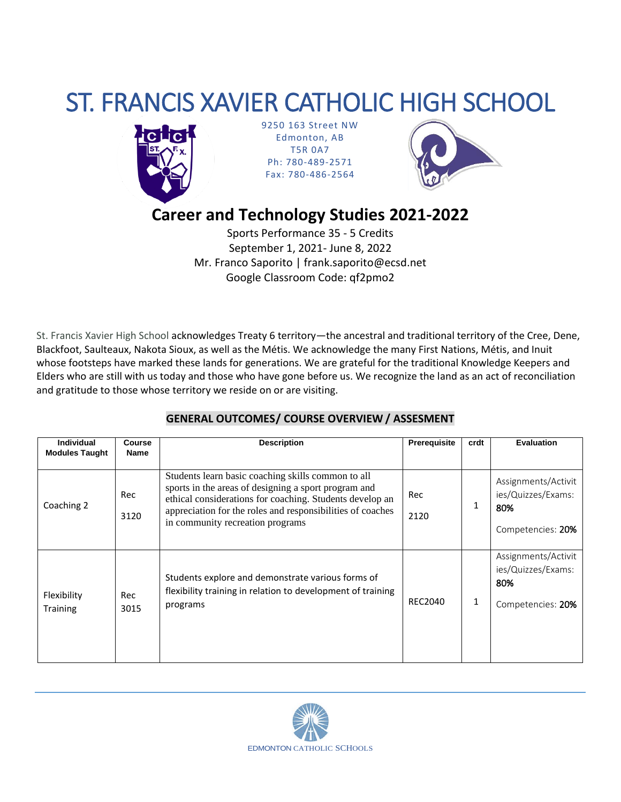# ST. FRANCIS XAVIER CATHOLIC HIGH SCHOOL



9250 163 Street NW Edmonton, AB T5R 0A7 Ph: 780-489-2571 Fax: 780-486-2564



## **Career and Technology Studies 2021-2022**

Sports Performance 35 - 5 Credits September 1, 2021- June 8, 2022 Mr. Franco Saporito | frank.saporito@ecsd.net Google Classroom Code: qf2pmo2

St. Francis Xavier High School acknowledges Treaty 6 territory—the ancestral and traditional territory of the Cree, Dene, Blackfoot, Saulteaux, Nakota Sioux, as well as the Métis. We acknowledge the many First Nations, Métis, and Inuit whose footsteps have marked these lands for generations. We are grateful for the traditional Knowledge Keepers and Elders who are still with us today and those who have gone before us. We recognize the land as an act of reconciliation and gratitude to those whose territory we reside on or are visiting.

### **GENERAL OUTCOMES/ COURSE OVERVIEW / ASSESMENT**

| <b>Individual</b><br><b>Modules Taught</b> | <b>Course</b><br>Name | <b>Description</b>                                                                                                                                                                                                                                                       | Prerequisite | crdt | <b>Evaluation</b>                                                     |
|--------------------------------------------|-----------------------|--------------------------------------------------------------------------------------------------------------------------------------------------------------------------------------------------------------------------------------------------------------------------|--------------|------|-----------------------------------------------------------------------|
| Coaching 2                                 | Rec<br>3120           | Students learn basic coaching skills common to all<br>sports in the areas of designing a sport program and<br>ethical considerations for coaching. Students develop an<br>appreciation for the roles and responsibilities of coaches<br>in community recreation programs | Rec<br>2120  |      | Assignments/Activit<br>ies/Quizzes/Exams:<br>80%<br>Competencies: 20% |
| Flexibility<br><b>Training</b>             | Rec<br>3015           | Students explore and demonstrate various forms of<br>flexibility training in relation to development of training<br>programs                                                                                                                                             | REC2040      | 1    | Assignments/Activit<br>ies/Quizzes/Exams:<br>80%<br>Competencies: 20% |

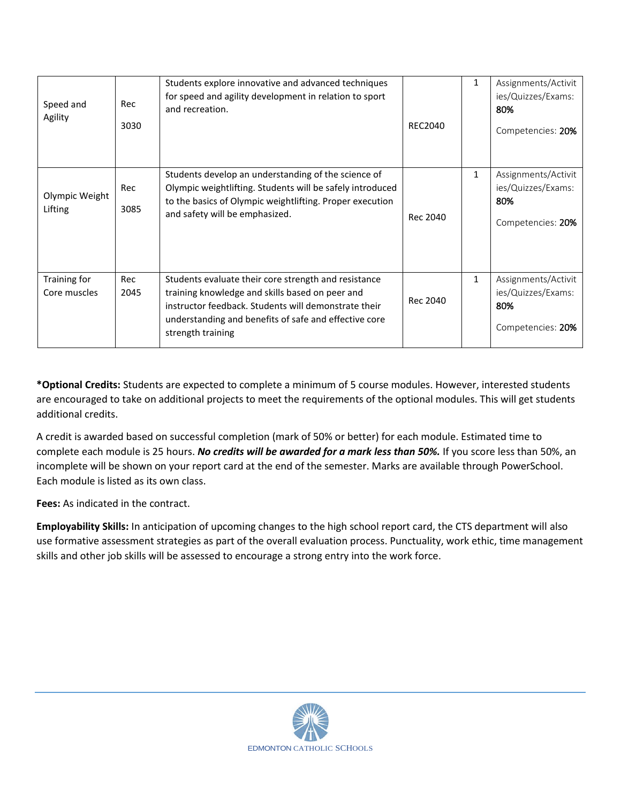| Speed and<br>Agility         | Rec<br>3030 | Students explore innovative and advanced techniques<br>for speed and agility development in relation to sport<br>and recreation.                                                                                                              | <b>REC2040</b> | 1            | Assignments/Activit<br>ies/Quizzes/Exams:<br>80%<br>Competencies: 20% |
|------------------------------|-------------|-----------------------------------------------------------------------------------------------------------------------------------------------------------------------------------------------------------------------------------------------|----------------|--------------|-----------------------------------------------------------------------|
| Olympic Weight<br>Lifting    | Rec<br>3085 | Students develop an understanding of the science of<br>Olympic weightlifting. Students will be safely introduced<br>to the basics of Olympic weightlifting. Proper execution<br>and safety will be emphasized.                                | Rec 2040       | $\mathbf{1}$ | Assignments/Activit<br>ies/Quizzes/Exams:<br>80%<br>Competencies: 20% |
| Training for<br>Core muscles | Rec<br>2045 | Students evaluate their core strength and resistance<br>training knowledge and skills based on peer and<br>instructor feedback. Students will demonstrate their<br>understanding and benefits of safe and effective core<br>strength training | Rec 2040       | $\mathbf{1}$ | Assignments/Activit<br>ies/Quizzes/Exams:<br>80%<br>Competencies: 20% |

**\*Optional Credits:** Students are expected to complete a minimum of 5 course modules. However, interested students are encouraged to take on additional projects to meet the requirements of the optional modules. This will get students additional credits.

A credit is awarded based on successful completion (mark of 50% or better) for each module. Estimated time to complete each module is 25 hours. *No credits will be awarded for a mark less than 50%.* If you score less than 50%, an incomplete will be shown on your report card at the end of the semester. Marks are available through PowerSchool. Each module is listed as its own class.

**Fees:** As indicated in the contract.

**Employability Skills:** In anticipation of upcoming changes to the high school report card, the CTS department will also use formative assessment strategies as part of the overall evaluation process. Punctuality, work ethic, time management skills and other job skills will be assessed to encourage a strong entry into the work force.

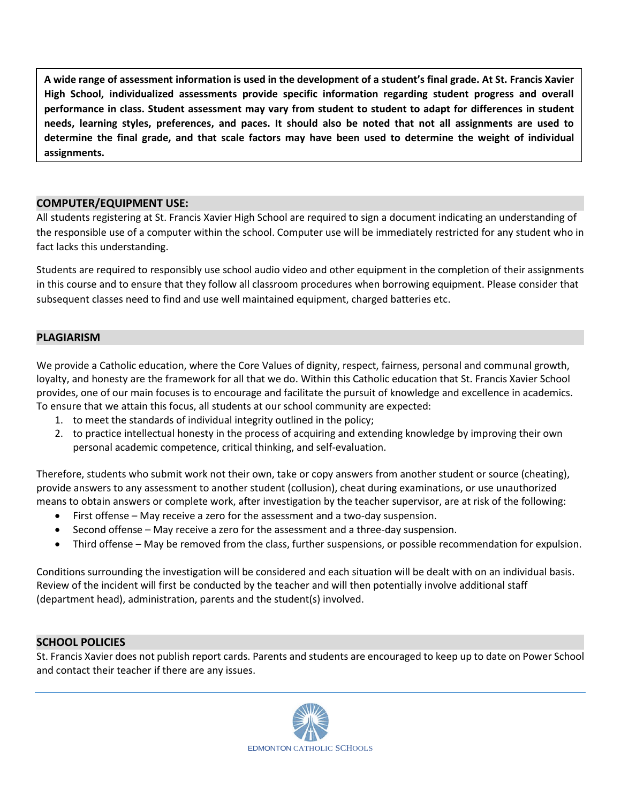**A wide range of assessment information is used in the development of a student's final grade. At St. Francis Xavier High School, individualized assessments provide specific information regarding student progress and overall performance in class. Student assessment may vary from student to student to adapt for differences in student needs, learning styles, preferences, and paces. It should also be noted that not all assignments are used to determine the final grade, and that scale factors may have been used to determine the weight of individual assignments.**

#### **COMPUTER/EQUIPMENT USE:**

All students registering at St. Francis Xavier High School are required to sign a document indicating an understanding of the responsible use of a computer within the school. Computer use will be immediately restricted for any student who in fact lacks this understanding.

Students are required to responsibly use school audio video and other equipment in the completion of their assignments in this course and to ensure that they follow all classroom procedures when borrowing equipment. Please consider that subsequent classes need to find and use well maintained equipment, charged batteries etc.

#### **PLAGIARISM**

We provide a Catholic education, where the Core Values of dignity, respect, fairness, personal and communal growth, loyalty, and honesty are the framework for all that we do. Within this Catholic education that St. Francis Xavier School provides, one of our main focuses is to encourage and facilitate the pursuit of knowledge and excellence in academics. To ensure that we attain this focus, all students at our school community are expected:

- 1. to meet the standards of individual integrity outlined in the policy;
- 2. to practice intellectual honesty in the process of acquiring and extending knowledge by improving their own personal academic competence, critical thinking, and self-evaluation.

Therefore, students who submit work not their own, take or copy answers from another student or source (cheating), provide answers to any assessment to another student (collusion), cheat during examinations, or use unauthorized means to obtain answers or complete work, after investigation by the teacher supervisor, are at risk of the following:

- First offense May receive a zero for the assessment and a two-day suspension.
- Second offense May receive a zero for the assessment and a three-day suspension.
- Third offense May be removed from the class, further suspensions, or possible recommendation for expulsion.

Conditions surrounding the investigation will be considered and each situation will be dealt with on an individual basis. Review of the incident will first be conducted by the teacher and will then potentially involve additional staff (department head), administration, parents and the student(s) involved.

#### **SCHOOL POLICIES**

St. Francis Xavier does not publish report cards. Parents and students are encouraged to keep up to date on Power School and contact their teacher if there are any issues.